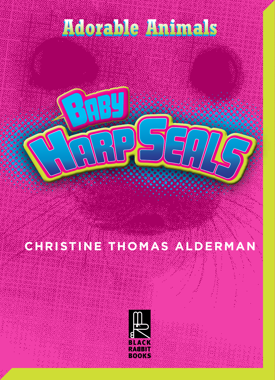## **Adorable Animals Adorable Animals**

## **CHRISTINE THOMAS ALDERMAN**

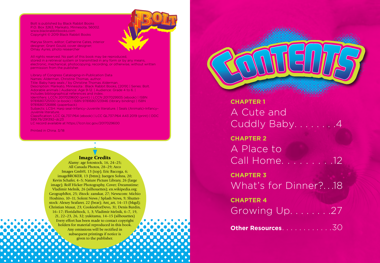Bolt is published by Black Rabbit Books P.O. Box 3263, Mankato, Minnesota, 56002. www.blackrabbitbooks.com Copyright © 2019 Black Rabbit Books



Marysa Storm, editor; Catherine Cates, interior designer; Grant Gould, cover designer; Omay Ayres, photo researcher

All rights reserved. No part of this book may be reproduced, stored in a retrieval system or transmitted in any form or by any means, electronic, mechanical, photocopying, recording, or otherwise, without written permission from the publisher.

Library of Congress Cataloging-in-Publication Data Names: Alderman, Christine Thomas, author. Title: Baby harp seals / by Christine Thomas Alderman. Description: Mankato, Minnesota : Black Rabbit Books, [2019] | Series: Bolt. Adorable animals | Audience: Age 9-12. | Audience: Grade 4 to 6. | Includes bibliographical references and index. Identifiers: LCCN 2017029600 (print) | LCCN 2017029935 (ebook) | ISBN 9781680725100 (e-book) | ISBN 9781680723946 (library binding) | ISBN 9781680726886 (paperback) Subjects: LCSH: Harp seal–Infancy–Juvenile literature. | Seals (Animals)–Infancy– Juvenile literature. Classification: LCC QL737.P64 (ebook) | LCC QL737.P64 A43 2019 (print) | DDC 599.79/291392–dc23

LC record available at https://lccn.loc.gov/2017029600

Printed in China. 3/18

### Image Credits

Alamy: age fotostock, 16, 24–25; All Canada Photos, 28–29; Arco Images GmbH, 13 (top); Eric Baccega, 6; imageBROKER, 13 (bttm); Juergen Sohns, 20; Kevin Schafer, 4–5; Nature Picture Library, 26 (large image); Rolf Hicker Photography, Cover; Dreamstime: Vladimir Melnik, 26 (silhouettes); en.wikipedia.org: GeographBot, 25; iStock: zanskar, 27; Newscom: Michio Hoshino, 10–11; Solent News / Splash News, 9; Shutter stock: Alexey Seafarer, 22 (bear); Ant\_art, 14–15 (bkgd); Christian Musat, 23; CookiesForDevo, 31; Denis Burdin, 16–17; FloridaStock, 1, 3; Vladimir Melnik, 6–7, 19, 21, 22–23, 26, 32; yukitama, 14–15 (silhouettes) Every effort has been made to contact copyright holders for material reproduced in this book. Any omissions will be rectified in subsequent printings if notice is given to the publisher.

**CHAPTER 1** A Cute and Cuddly Baby........4 **CHAPTER 2** A Place to Call Home. . . . . . . . .12 **CHAPTER 3** What's for Dinner?. . .18 **CHAPTER 4** Growing Up. . . . . . . .27 **Other Resources. . . . . . . . . . . . . 30**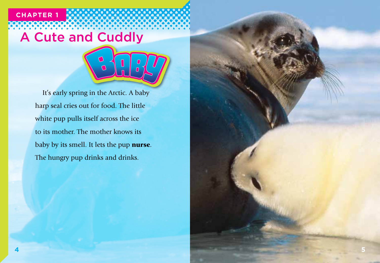# A Cute and Cuddly

**CHAPTER 1**



It's early spring in the Arctic. A baby harp seal cries out for food. The little white pup pulls itself across the ice to its mother. The mother knows its baby by its smell. It lets the pup nurse. The hungry pup drinks and drinks.

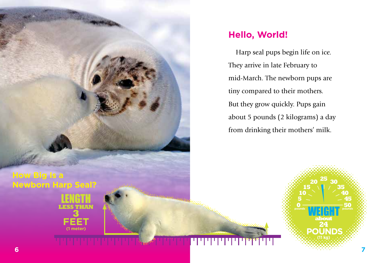

## **Hello, World!**

Harp seal pups begin life on ice. They arrive in late February to mid-March. The newborn pups are tiny compared to their mothers. But they grow quickly. Pups gain about 5 pounds (2 kilograms) a day from drinking their mothers' milk.